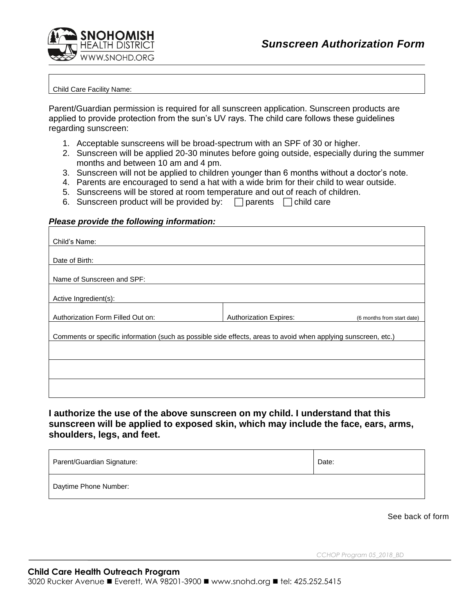

## Child Care Facility Name:

Parent/Guardian permission is required for all sunscreen application. Sunscreen products are applied to provide protection from the sun's UV rays. The child care follows these guidelines regarding sunscreen:

- 1. Acceptable sunscreens will be broad-spectrum with an SPF of 30 or higher.
- 2. Sunscreen will be applied 20-30 minutes before going outside, especially during the summer months and between 10 am and 4 pm.
- 3. Sunscreen will not be applied to children younger than 6 months without a doctor's note.
- 4. Parents are encouraged to send a hat with a wide brim for their child to wear outside.
- 5. Sunscreens will be stored at room temperature and out of reach of children.
- 6. Sunscreen product will be provided by:  $\Box$  parents  $\Box$  child care

## *Please provide the following information:*

| Child's Name:                                                                                                  |                               |                            |
|----------------------------------------------------------------------------------------------------------------|-------------------------------|----------------------------|
|                                                                                                                |                               |                            |
| Date of Birth:                                                                                                 |                               |                            |
| Name of Sunscreen and SPF:                                                                                     |                               |                            |
| Active Ingredient(s):                                                                                          |                               |                            |
|                                                                                                                |                               |                            |
| Authorization Form Filled Out on:                                                                              | <b>Authorization Expires:</b> | (6 months from start date) |
| Comments or specific information (such as possible side effects, areas to avoid when applying sunscreen, etc.) |                               |                            |
|                                                                                                                |                               |                            |
|                                                                                                                |                               |                            |
|                                                                                                                |                               |                            |
|                                                                                                                |                               |                            |

**I authorize the use of the above sunscreen on my child. I understand that this sunscreen will be applied to exposed skin, which may include the face, ears, arms, shoulders, legs, and feet.** 

| Parent/Guardian Signature: | Date: |
|----------------------------|-------|
| Daytime Phone Number:      |       |

See back of form

*CCHOP Program 05\_2018\_BD*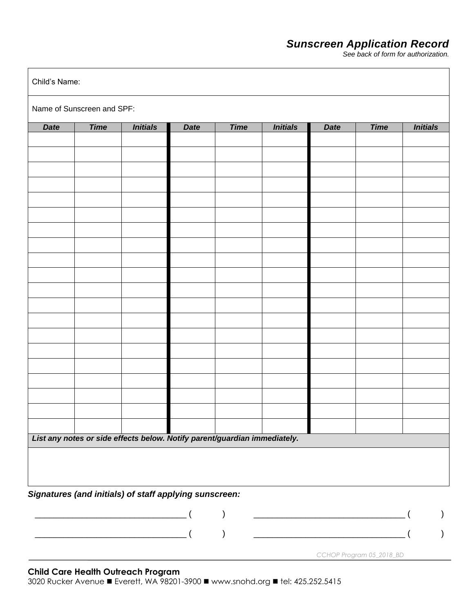## *Sunscreen Application Record*

*See back of form for authorization.*

| <b>Time</b><br><b>Initials</b><br><b>Time</b><br><b>Date</b><br><b>Date</b><br>List any notes or side effects below. Notify parent/guardian immediately. | <b>Initials</b> | <b>Date</b> | <b>Time</b> |                 |
|----------------------------------------------------------------------------------------------------------------------------------------------------------|-----------------|-------------|-------------|-----------------|
|                                                                                                                                                          |                 |             |             | <b>Initials</b> |
|                                                                                                                                                          |                 |             |             |                 |
|                                                                                                                                                          |                 |             |             |                 |
|                                                                                                                                                          |                 |             |             |                 |
|                                                                                                                                                          |                 |             |             |                 |
|                                                                                                                                                          |                 |             |             |                 |
|                                                                                                                                                          |                 |             |             |                 |
|                                                                                                                                                          |                 |             |             |                 |
|                                                                                                                                                          |                 |             |             |                 |
|                                                                                                                                                          |                 |             |             |                 |
|                                                                                                                                                          |                 |             |             |                 |
|                                                                                                                                                          |                 |             |             |                 |
|                                                                                                                                                          |                 |             |             |                 |
|                                                                                                                                                          |                 |             |             |                 |
|                                                                                                                                                          |                 |             |             |                 |
|                                                                                                                                                          |                 |             |             |                 |
|                                                                                                                                                          |                 |             |             |                 |
|                                                                                                                                                          |                 |             |             |                 |
|                                                                                                                                                          |                 |             |             |                 |
|                                                                                                                                                          |                 |             |             |                 |
|                                                                                                                                                          |                 |             |             |                 |
|                                                                                                                                                          |                 |             |             |                 |
|                                                                                                                                                          |                 |             |             |                 |
|                                                                                                                                                          |                 |             |             |                 |
|                                                                                                                                                          |                 |             |             |                 |
| Signatures (and initials) of staff applying sunscreen:                                                                                                   |                 |             |             |                 |
| $\big)$<br><u> 1989 - Johann John Harry Hermann (f. 1989)</u>                                                                                            |                 |             |             |                 |

## **Child Care Health Outreach Program**

3020 Rucker Avenue ■ Everett, WA 98201-3900 ■ www.snohd.org ■ tel: 425.252.5415